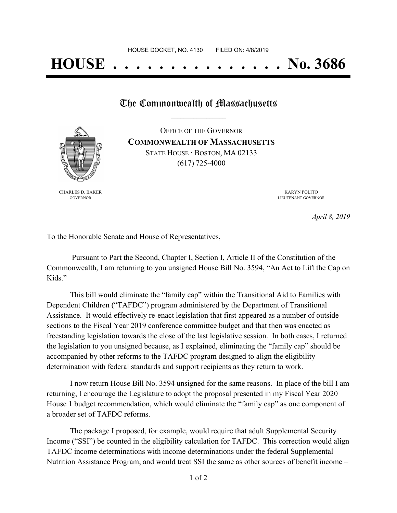## **HOUSE . . . . . . . . . . . . . . . No. 3686**

## The Commonwealth of Massachusetts

OFFICE OF THE GOVERNOR **COMMONWEALTH OF MASSACHUSETTS**



STATE HOUSE · BOSTON, MA 02133 (617) 725-4000

CHARLES D. BAKER GOVERNOR

KARYN POLITO LIEUTENANT GOVERNOR

*April 8, 2019*

To the Honorable Senate and House of Representatives,

Pursuant to Part the Second, Chapter I, Section I, Article II of the Constitution of the Commonwealth, I am returning to you unsigned House Bill No. 3594, "An Act to Lift the Cap on Kids."

This bill would eliminate the "family cap" within the Transitional Aid to Families with Dependent Children ("TAFDC") program administered by the Department of Transitional Assistance. It would effectively re-enact legislation that first appeared as a number of outside sections to the Fiscal Year 2019 conference committee budget and that then was enacted as freestanding legislation towards the close of the last legislative session. In both cases, I returned the legislation to you unsigned because, as I explained, eliminating the "family cap" should be accompanied by other reforms to the TAFDC program designed to align the eligibility determination with federal standards and support recipients as they return to work.

I now return House Bill No. 3594 unsigned for the same reasons. In place of the bill I am returning, I encourage the Legislature to adopt the proposal presented in my Fiscal Year 2020 House 1 budget recommendation, which would eliminate the "family cap" as one component of a broader set of TAFDC reforms.

The package I proposed, for example, would require that adult Supplemental Security Income ("SSI") be counted in the eligibility calculation for TAFDC. This correction would align TAFDC income determinations with income determinations under the federal Supplemental Nutrition Assistance Program, and would treat SSI the same as other sources of benefit income –